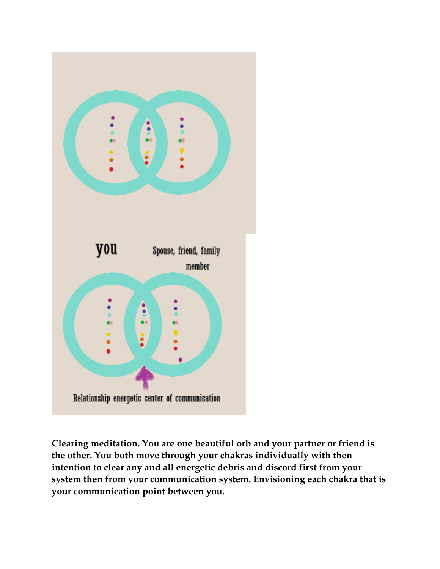

**Clearing meditation. You are one beautiful orb and your partner or friend is the other. You both move through your chakras individually with then intention to clear any and all energetic debris and discord first from your system then from your communication system. Envisioning each chakra that is your communication point between you.**